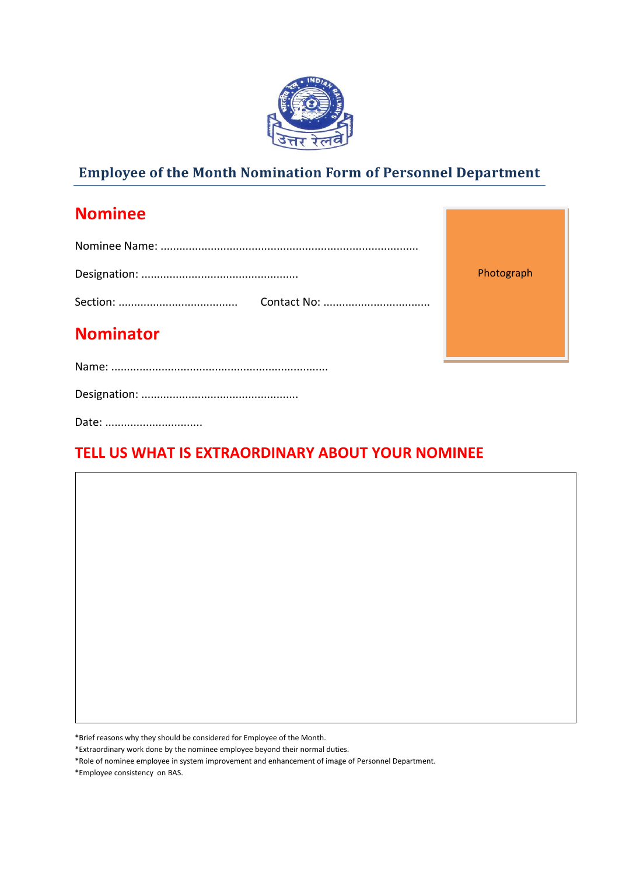

## **Employee of the Month Nomination Form of Personnel Department**

## **Nominee**

|                  | Photograph |  |  |
|------------------|------------|--|--|
|                  |            |  |  |
| <b>Nominator</b> |            |  |  |
|                  |            |  |  |
|                  |            |  |  |

Date: ..................................

## **TELL US WHAT IS EXTRAORDINARY ABOUT YOUR NOMINEE**

\*Brief reasons why they should be considered for Employee of the Month.

\*Extraordinary work done by the nominee employee beyond their normal duties.

\*Role of nominee employee in system improvement and enhancement of image of Personnel Department.

\*Employee consistency on BAS.

**]**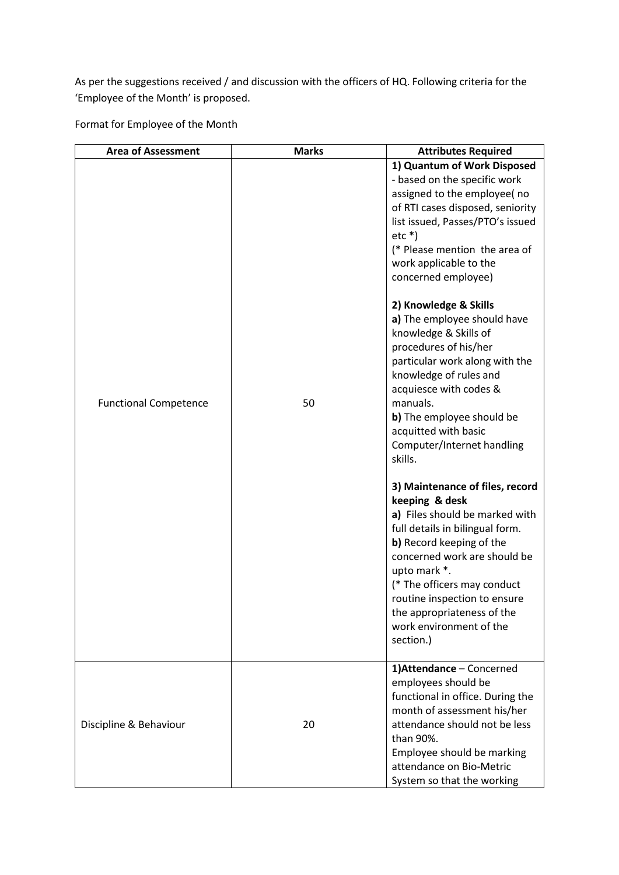As per the suggestions received / and discussion with the officers of HQ. Following criteria for the 'Employee of the Month' is proposed.

Format for Employee of the Month

| <b>Area of Assessment</b>    | <b>Marks</b> | <b>Attributes Required</b>                                                                                                                                                                                                                                                                                                                                                                                                                                                                                                                                                                                                                                                                                                                                                                                                                                                                                          |
|------------------------------|--------------|---------------------------------------------------------------------------------------------------------------------------------------------------------------------------------------------------------------------------------------------------------------------------------------------------------------------------------------------------------------------------------------------------------------------------------------------------------------------------------------------------------------------------------------------------------------------------------------------------------------------------------------------------------------------------------------------------------------------------------------------------------------------------------------------------------------------------------------------------------------------------------------------------------------------|
| <b>Functional Competence</b> | 50           | 1) Quantum of Work Disposed<br>- based on the specific work<br>assigned to the employee(no<br>of RTI cases disposed, seniority<br>list issued, Passes/PTO's issued<br>$etc*$<br>(* Please mention the area of<br>work applicable to the<br>concerned employee)<br>2) Knowledge & Skills<br>a) The employee should have<br>knowledge & Skills of<br>procedures of his/her<br>particular work along with the<br>knowledge of rules and<br>acquiesce with codes &<br>manuals.<br>b) The employee should be<br>acquitted with basic<br>Computer/Internet handling<br>skills.<br>3) Maintenance of files, record<br>keeping & desk<br>a) Files should be marked with<br>full details in bilingual form.<br>b) Record keeping of the<br>concerned work are should be<br>upto mark *.<br>(* The officers may conduct<br>routine inspection to ensure<br>the appropriateness of the<br>work environment of the<br>section.) |
| Discipline & Behaviour       | 20           | 1) Attendance - Concerned<br>employees should be<br>functional in office. During the<br>month of assessment his/her<br>attendance should not be less<br>than 90%.<br>Employee should be marking<br>attendance on Bio-Metric<br>System so that the working                                                                                                                                                                                                                                                                                                                                                                                                                                                                                                                                                                                                                                                           |